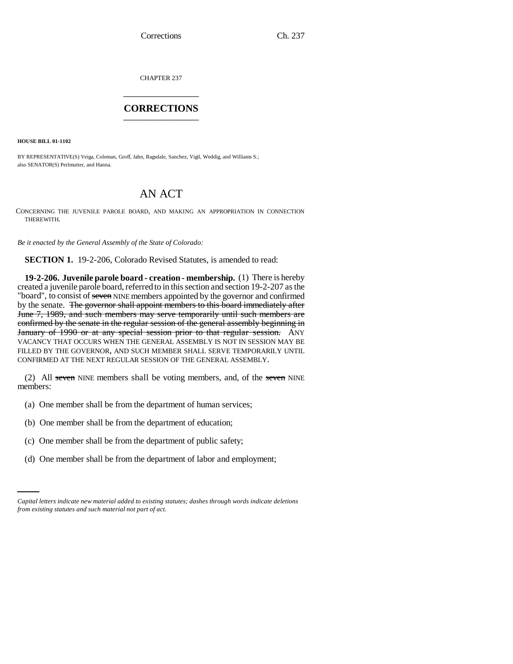CHAPTER 237 \_\_\_\_\_\_\_\_\_\_\_\_\_\_\_

## **CORRECTIONS** \_\_\_\_\_\_\_\_\_\_\_\_\_\_\_

**HOUSE BILL 01-1102**

BY REPRESENTATIVE(S) Veiga, Coleman, Groff, Jahn, Ragsdale, Sanchez, Vigil, Weddig, and Williams S.; also SENATOR(S) Perlmutter, and Hanna.

## AN ACT

CONCERNING THE JUVENILE PAROLE BOARD, AND MAKING AN APPROPRIATION IN CONNECTION THEREWITH.

*Be it enacted by the General Assembly of the State of Colorado:*

**SECTION 1.** 19-2-206, Colorado Revised Statutes, is amended to read:

**19-2-206. Juvenile parole board - creation - membership.** (1) There is hereby created a juvenile parole board, referred to in this section and section 19-2-207 as the "board", to consist of seven NINE members appointed by the governor and confirmed by the senate. The governor shall appoint members to this board immediately after June 7, 1989, and such members may serve temporarily until such members are confirmed by the senate in the regular session of the general assembly beginning in January of 1990 or at any special session prior to that regular session. ANY VACANCY THAT OCCURS WHEN THE GENERAL ASSEMBLY IS NOT IN SESSION MAY BE FILLED BY THE GOVERNOR, AND SUCH MEMBER SHALL SERVE TEMPORARILY UNTIL CONFIRMED AT THE NEXT REGULAR SESSION OF THE GENERAL ASSEMBLY.

(2) All seven NINE members shall be voting members, and, of the seven NINE members:

- (a) One member shall be from the department of human services;
- (b) One member shall be from the department of education;
- (c) One member shall be from the department of public safety;
	- (d) One member shall be from the department of labor and employment;

*Capital letters indicate new material added to existing statutes; dashes through words indicate deletions from existing statutes and such material not part of act.*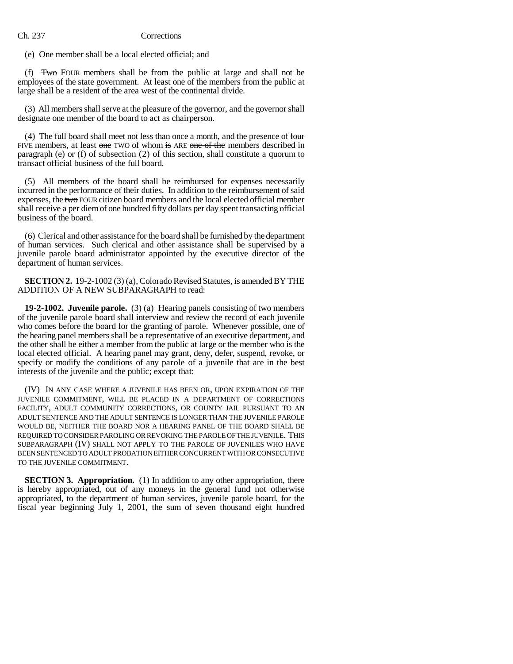## Ch. 237 Corrections

(e) One member shall be a local elected official; and

(f) Two FOUR members shall be from the public at large and shall not be employees of the state government. At least one of the members from the public at large shall be a resident of the area west of the continental divide.

(3) All members shall serve at the pleasure of the governor, and the governor shall designate one member of the board to act as chairperson.

(4) The full board shall meet not less than once a month, and the presence of  $f_{\text{out}}$ FIVE members, at least one TWO of whom is ARE one of the members described in paragraph (e) or (f) of subsection (2) of this section, shall constitute a quorum to transact official business of the full board.

(5) All members of the board shall be reimbursed for expenses necessarily incurred in the performance of their duties. In addition to the reimbursement of said expenses, the two FOUR citizen board members and the local elected official member shall receive a per diem of one hundred fifty dollars per day spent transacting official business of the board.

(6) Clerical and other assistance for the board shall be furnished by the department of human services. Such clerical and other assistance shall be supervised by a juvenile parole board administrator appointed by the executive director of the department of human services.

**SECTION 2.** 19-2-1002 (3) (a), Colorado Revised Statutes, is amended BY THE ADDITION OF A NEW SUBPARAGRAPH to read:

**19-2-1002. Juvenile parole.** (3) (a) Hearing panels consisting of two members of the juvenile parole board shall interview and review the record of each juvenile who comes before the board for the granting of parole. Whenever possible, one of the hearing panel members shall be a representative of an executive department, and the other shall be either a member from the public at large or the member who is the local elected official. A hearing panel may grant, deny, defer, suspend, revoke, or specify or modify the conditions of any parole of a juvenile that are in the best interests of the juvenile and the public; except that:

(IV) IN ANY CASE WHERE A JUVENILE HAS BEEN OR, UPON EXPIRATION OF THE JUVENILE COMMITMENT, WILL BE PLACED IN A DEPARTMENT OF CORRECTIONS FACILITY, ADULT COMMUNITY CORRECTIONS, OR COUNTY JAIL PURSUANT TO AN ADULT SENTENCE AND THE ADULT SENTENCE IS LONGER THAN THE JUVENILE PAROLE WOULD BE, NEITHER THE BOARD NOR A HEARING PANEL OF THE BOARD SHALL BE REQUIRED TO CONSIDER PAROLING OR REVOKING THE PAROLE OF THE JUVENILE. THIS SUBPARAGRAPH (IV) SHALL NOT APPLY TO THE PAROLE OF JUVENILES WHO HAVE BEEN SENTENCED TO ADULT PROBATION EITHER CONCURRENT WITH OR CONSECUTIVE TO THE JUVENILE COMMITMENT.

**SECTION 3. Appropriation.** (1) In addition to any other appropriation, there is hereby appropriated, out of any moneys in the general fund not otherwise appropriated, to the department of human services, juvenile parole board, for the fiscal year beginning July 1, 2001, the sum of seven thousand eight hundred